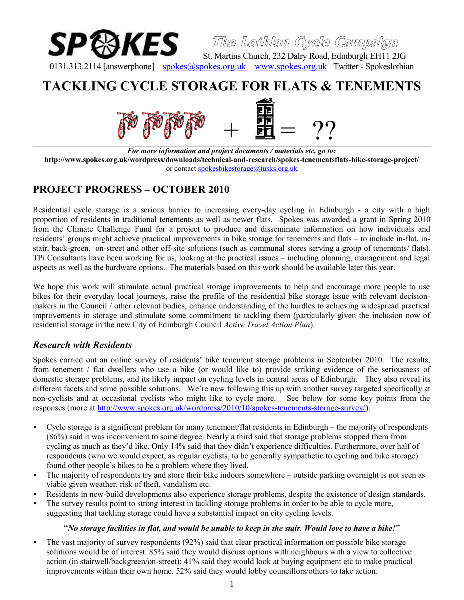

**The Lothian Cycle Campaign**

St. Martins Church, 232 Dalry Road, Edinburgh EH11 2JG 0131.313.2114 [answerphone] [spokes@spokes.org.uk](mailto:spokes@spokes.org.uk) [www.spokes.org.uk](http://www.spokes.org.uk/) Twitter - Spokeslothian

# **TACKLING CYCLE STORAGE FOR FLATS & TENEMENTS**



*For more information and project documents / materials etc, go to:* **http://www.spokes.org.uk/wordpress/downloads/technical-and-research/spokes-tenementsflats-bike-storage-project/** or contact [spokesbikestorage@tusks.org.uk](mailto:spokesbikestorage@tusks.org.uk)

# **PROJECT PROGRESS – OCTOBER 2010**

Residential cycle storage is a serious barrier to increasing every-day cycling in Edinburgh - a city with a high proportion of residents in traditional tenements as well as newer flats. Spokes was awarded a grant in Spring 2010 from the Climate Challenge Fund for a project to produce and disseminate information on how individuals and residents' groups might achieve practical improvements in bike storage for tenements and flats – to include in-flat, instair, back-green, on-street and other off-site solutions (such as communal stores serving a group of tenements/ flats). TPi Consultants have been working for us, looking at the practical issues – including planning, management and legal aspects as well as the hardware options. The materials based on this work should be available later this year.

We hope this work will stimulate actual practical storage improvements to help and encourage more people to use bikes for their everyday local journeys, raise the profile of the residential bike storage issue with relevant decisionmakers in the Council / other relevant bodies, enhance understanding of the hurdles to achieving widespread practical improvements in storage and stimulate some commitment to tackling them (particularly given the inclusion now of residential storage in the new City of Edinburgh Council *Active Travel Action Plan*).

## *Research with Residents*

Spokes carried out an online survey of residents' bike tenement storage problems in September 2010. The results, from tenement / flat dwellers who use a bike (or would like to) provide striking evidence of the seriousness of domestic storage problems, and its likely impact on cycling levels in central areas of Edinburgh. They also reveal its different facets and some possible solutions. We're now following this up with another survey targeted specifically at non-cyclists and at occasional cyclists who might like to cycle more. See below for some key points from the responses (more at [http://www.spokes.org.uk/wordpress/2010/10/spokes-tenements-storage-survey/\)](http://www.spokes.org.uk/wordpress/2010/10/spokes-tenements-storage-survey/).

- Cycle storage is a significant problem for many tenement/flat residents in Edinburgh the majority of respondents (86%) said it was inconvenient to some degree. Nearly a third said that storage problems stopped them from cycling as much as they'd like. Only 14% said that they didn't experience difficulties. Furthermore, over half of respondents (who we would expect, as regular cyclists, to be generally sympathetic to cycling and bike storage) found other people's bikes to be a problem where they lived.
- The majority of respondents try and store their bike indoors somewhere outside parking overnight is not seen as viable given weather, risk of theft, vandalism etc.
- Residents in new-build developments also experience storage problems, despite the existence of design standards.
- The survey results point to strong interest in tackling storage problems in order to be able to cycle more, suggesting that tackling storage could have a substantial impact on city cycling levels.

#### "*No storage facilities in flat, and would be unable to keep in the stair. Would love to have a bike!*"

• The vast majority of survey respondents (92%) said that clear practical information on possible bike storage solutions would be of interest. 85% said they would discuss options with neighbours with a view to collective action (in stairwell/backgreen/on-street); 41% said they would look at buying equipment etc to make practical improvements within their own home. 52% said they would lobby councillors/others to take action.